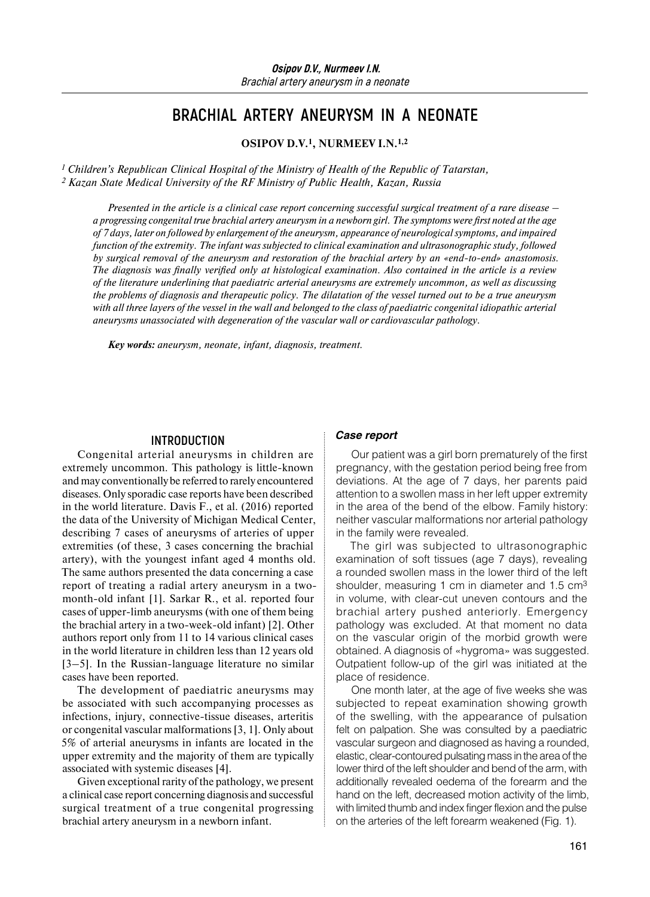# **BRACHIAL ARTERY ANEURYSM IN A NEONATE**

**OSIPOV D.V.1, NURMEEV I.N.1,2**

*1 Children's Republican Clinical Hospital of the Ministry of Health of the Republic of Tatarstan, 2 Kazan State Medical University of the RF Ministry of Public Health, Kazan, Russia*

*Presented in the article is a clinical case report concerning successful surgical treatment of a rare disease – a progressing congenital true brachial artery aneurysm in a newborn girl. The symptoms were first noted at the age of 7 days, later on followed by enlargement of the aneurysm, appearance of neurological symptoms, and impaired function of the extremity. The infant was subjected to clinical examination and ultrasonographic study, followed by surgical removal of the aneurysm and restoration of the brachial artery by an «end-to-end» anastomosis. The diagnosis was finally verified only at histological examination. Also contained in the article is a review of the literature underlining that paediatric arterial aneurysms are extremely uncommon, as well as discussing the problems of diagnosis and therapeutic policy. The dilatation of the vessel turned out to be a true aneurysm with all three layers of the vessel in the wall and belonged to the class of paediatric congenital idiopathic arterial aneurysms unassociated with degeneration of the vascular wall or cardiovascular pathology.*

*Key words: aneurysm, neonate, infant, diagnosis, treatment.*

## **INTRODUCTION**

Congenital arterial aneurysms in children are extremely uncommon. This pathology is little-known and may conventionally be referred to rarely encountered diseases. Only sporadic case reports have been described in the world literature. Davis F., et al. (2016) reported the data of the University of Michigan Medical Center, describing 7 cases of aneurysms of arteries of upper extremities (of these, 3 cases concerning the brachial artery), with the youngest infant aged 4 months old. The same authors presented the data concerning a case report of treating a radial artery aneurysm in a twomonth-old infant [1]. Sarkar R., et al. reported four cases of upper-limb aneurysms (with one of them being the brachial artery in a two-week-old infant) [2]. Other authors report only from 11 to 14 various clinical cases in the world literature in children less than 12 years old [3–5]. In the Russian-language literature no similar cases have been reported.

The development of paediatric aneurysms may be associated with such accompanying processes as infections, injury, connective-tissue diseases, arteritis or congenital vascular malformations [3, 1]. Only about 5% of arterial aneurysms in infants are located in the upper extremity and the majority of them are typically associated with systemic diseases [4].

Given exceptional rarity of the pathology, we present a clinical case report concerning diagnosis and successful surgical treatment of a true congenital progressing brachial artery aneurysm in a newborn infant.

#### *Case report*

Our patient was a girl born prematurely of the first pregnancy, with the gestation period being free from deviations. At the age of 7 days, her parents paid attention to a swollen mass in her left upper extremity in the area of the bend of the elbow. Family history: neither vascular malformations nor arterial pathology in the family were revealed.

The girl was subjected to ultrasonographic examination of soft tissues (age 7 days), revealing a rounded swollen mass in the lower third of the left shoulder, measuring 1 cm in diameter and 1.5 cm<sup>3</sup> in volume, with clear-cut uneven contours and the brachial artery pushed anteriorly. Emergency pathology was excluded. At that moment no data on the vascular origin of the morbid growth were obtained. A diagnosis of «hygroma» was suggested. Outpatient follow-up of the girl was initiated at the place of residence.

One month later, at the age of five weeks she was subjected to repeat examination showing growth of the swelling, with the appearance of pulsation felt on palpation. She was consulted by a paediatric vascular surgeon and diagnosed as having a rounded, elastic, clear-contoured pulsating mass inthe area of the lower third of the left shoulder and bend of the arm, with additionally revealed oedema of the forearm and the hand on the left, decreased motion activity of the limb, with limited thumb and index finger flexion and the pulse on the arteries of the left forearm weakened (Fig. 1).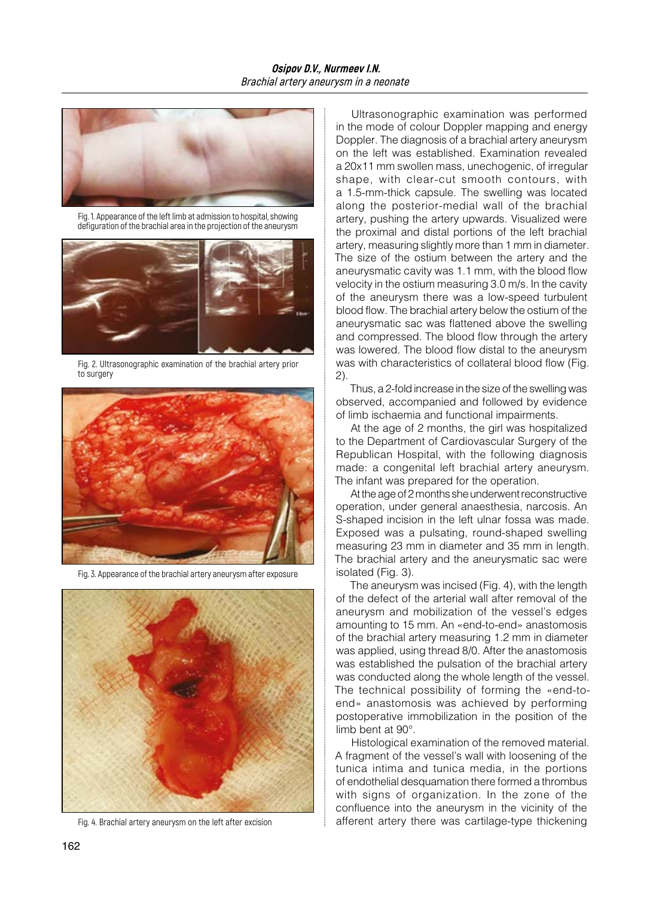

Fig. 1. Appearance of the left limb at admission to hospital, showing defiguration of the brachial area in the projection of the aneurysm



Fig. 2. Ultrasonographic examination of the brachial artery prior to surgery



Fig. 3. Appearance of the brachial artery aneurysm after exposure



Fig. 4. Brachial artery aneurysm on the left after excision

Ultrasonographic examination was performed in the mode of colour Doppler mapping and energy Doppler. The diagnosis of a brachial artery aneurysm on the left was established. Examination revealed a 20x11 mm swollen mass, unechogenic, of irregular shape, with clear-cut smooth contours, with a 1.5-mm-thick capsule. The swelling was located along the posterior-medial wall of the brachial artery, pushing the artery upwards. Visualized were the proximal and distal portions of the left brachial artery, measuring slightly more than 1 mm in diameter. The size of the ostium between the artery and the aneurysmatic cavity was 1.1 mm, with the blood flow velocity in the ostium measuring 3.0 m/s. In the cavity of the aneurysm there was a low-speed turbulent blood flow. The brachial artery below the ostium of the aneurysmatic sac was flattened above the swelling and compressed. The blood flow through the artery was lowered. The blood flow distal to the aneurysm was with characteristics of collateral blood flow (Fig. 2).

Thus, a 2-fold increase in the size of the swelling was observed, accompanied and followed by evidence of limb ischaemia and functional impairments.

At the age of 2 months, the girl was hospitalized to the Department of Cardiovascular Surgery of the Republican Hospital, with the following diagnosis made: a congenital left brachial artery aneurysm. The infant was prepared for the operation.

At the age of 2 months she underwent reconstructive operation, under general anaesthesia, narcosis. An S-shaped incision in the left ulnar fossa was made. Exposed was a pulsating, round-shaped swelling measuring 23 mm in diameter and 35 mm in length. The brachial artery and the aneurysmatic sac were isolated (Fig. 3).

The aneurysm was incised (Fig. 4), with the length of the defect of the arterial wall after removal of the aneurysm and mobilization of the vessel's edges amounting to 15 mm. An «end-to-end» anastomosis of the brachial artery measuring 1.2 mm in diameter was applied, using thread 8/0. After the anastomosis was established the pulsation of the brachial artery was conducted along the whole length of the vessel. The technical possibility of forming the «end-toend» anastomosis was achieved by performing postoperative immobilization in the position of the limb bent at 90°.

Histological examination of the removed material. A fragment of the vessel's wall with loosening of the tunica intima and tunica media, in the portions of endothelial desquamation there formed a thrombus with signs of organization. In the zone of the confluence into the aneurysm in the vicinity of the afferent artery there was cartilage-type thickening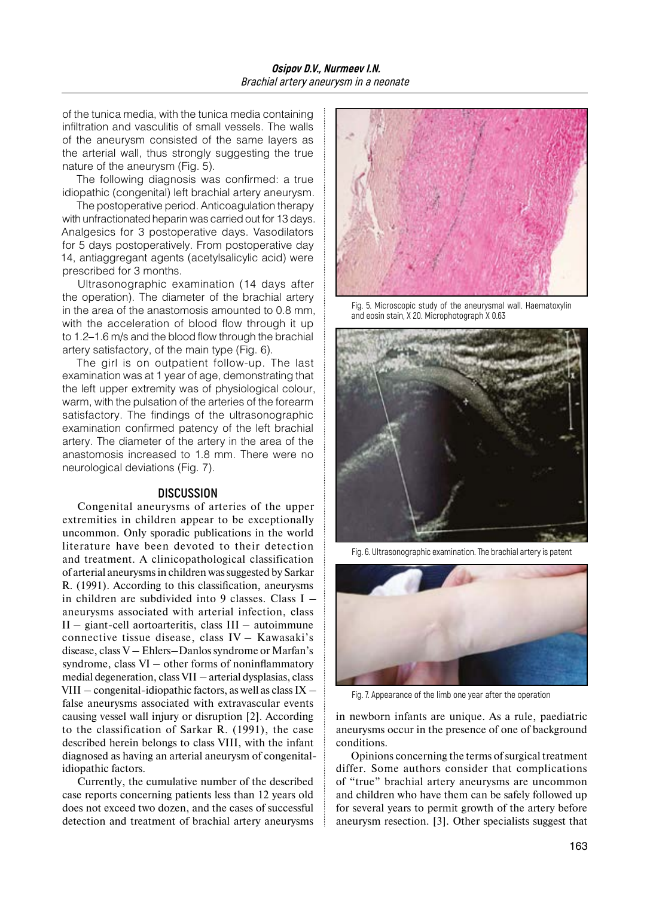of the tunica media, with the tunica media containing infiltration and vasculitis of small vessels. The walls of the aneurysm consisted of the same layers as the arterial wall, thus strongly suggesting the true nature of the aneurysm (Fig. 5).

The following diagnosis was confirmed: a true idiopathic (congenital) left brachial artery aneurysm.

The postoperative period. Anticoagulation therapy with unfractionated heparin was carried out for 13 days. Analgesics for 3 postoperative days. Vasodilators for 5 days postoperatively. From postoperative day 14, antiaggregant agents (acetylsalicylic acid) were prescribed for 3 months.

Ultrasonographic examination (14 days after the operation). The diameter of the brachial artery in the area of the anastomosis amounted to 0.8 mm, with the acceleration of blood flow through it up to 1.2–1.6 m/s and the blood flow through the brachial artery satisfactory, of the main type (Fig. 6).

The girl is on outpatient follow-up. The last examination was at 1 year of age, demonstrating that the left upper extremity was of physiological colour, warm, with the pulsation of the arteries of the forearm satisfactory. The findings of the ultrasonographic examination confirmed patency of the left brachial artery. The diameter of the artery in the area of the anastomosis increased to 1.8 mm. There were no neurological deviations (Fig. 7).

#### **DISCUSSION**

Congenital aneurysms of arteries of the upper extremities in children appear to be exceptionally uncommon. Only sporadic publications in the world literature have been devoted to their detection and treatment. A clinicopathological classification of arterial aneurysms in children was suggested by Sarkar R. (1991). According to this classification, aneurysms in children are subdivided into 9 classes. Class I – aneurysms associated with arterial infection, class II – giant-cell aortoarteritis, class III – autoimmune connective tissue disease, class IV – Kawasaki's disease, class V – Ehlers–Danlos syndrome or Marfan's syndrome, class VI – other forms of noninflammatory medial degeneration, class VII – arterial dysplasias, class VIII – congenital-idiopathic factors, as well as class  $IX$ false aneurysms associated with extravascular events causing vessel wall injury or disruption [2]. According to the classification of Sarkar R. (1991), the case described herein belongs to class VIII, with the infant diagnosed as having an arterial aneurysm of congenitalidiopathic factors.

Currently, the cumulative number of the described case reports concerning patients less than 12 years old does not exceed two dozen, and the cases of successful detection and treatment of brachial artery aneurysms



Fig. 5. Microscopic study of the aneurysmal wall. Haematoxylin and eosin stain, X 20. Microphotograph X 0.63



Fig. 6. Ultrasonographic examination. The brachial artery is patent



Fig. 7. Appearance of the limb one year after the operation

in newborn infants are unique. As a rule, paediatric aneurysms occur in the presence of one of background conditions.

Opinions concerning the terms of surgical treatment differ. Some authors consider that complications of "true" brachial artery aneurysms are uncommon and children who have them can be safely followed up for several years to permit growth of the artery before aneurysm resection. [3]. Other specialists suggest that